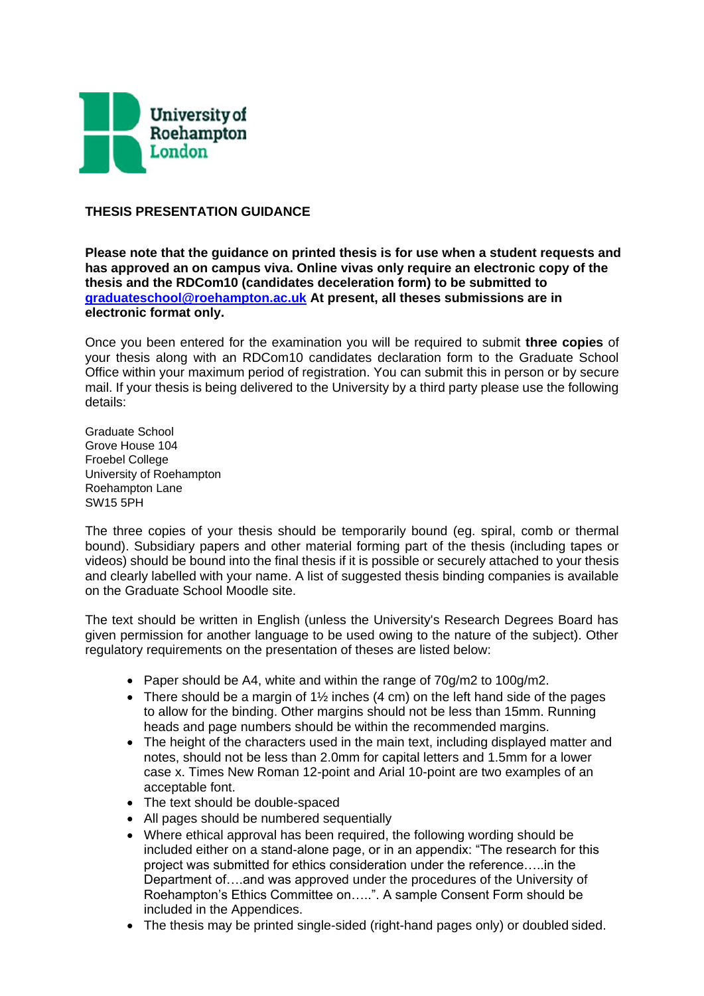

## **THESIS PRESENTATION GUIDANCE**

**Please note that the guidance on printed thesis is for use when a student requests and has approved an on campus viva. Online vivas only require an electronic copy of the thesis and the RDCom10 (candidates deceleration form) to be submitted to [graduateschool@roehampton.ac.uk](mailto:graduateschool@roehampton.ac.uk) At present, all theses submissions are in electronic format only.**

Once you been entered for the examination you will be required to submit **three copies** of your thesis along with an RDCom10 candidates declaration form to the Graduate School Office within your maximum period of registration. You can submit this in person or by secure mail. If your thesis is being delivered to the University by a third party please use the following details:

Graduate School Grove House 104 Froebel College University of Roehampton Roehampton Lane SW15 5PH

The three copies of your thesis should be temporarily bound (eg. spiral, comb or thermal bound). Subsidiary papers and other material forming part of the thesis (including tapes or videos) should be bound into the final thesis if it is possible or securely attached to your thesis and clearly labelled with your name. A list of suggested thesis binding companies is available on the Graduate School Moodle site.

The text should be written in English (unless the University's Research Degrees Board has given permission for another language to be used owing to the nature of the subject). Other regulatory requirements on the presentation of theses are listed below:

- Paper should be A4, white and within the range of 70g/m2 to 100g/m2.
- There should be a margin of  $1\frac{1}{2}$  inches (4 cm) on the left hand side of the pages to allow for the binding. Other margins should not be less than 15mm. Running heads and page numbers should be within the recommended margins.
- The height of the characters used in the main text, including displayed matter and notes, should not be less than 2.0mm for capital letters and 1.5mm for a lower case x. Times New Roman 12-point and Arial 10-point are two examples of an acceptable font.
- The text should be double-spaced
- All pages should be numbered sequentially
- Where ethical approval has been required, the following wording should be included either on a stand-alone page, or in an appendix: "The research for this project was submitted for ethics consideration under the reference…..in the Department of….and was approved under the procedures of the University of Roehampton's Ethics Committee on…..". A sample Consent Form should be included in the Appendices.
- The thesis may be printed single-sided (right-hand pages only) or doubled sided.